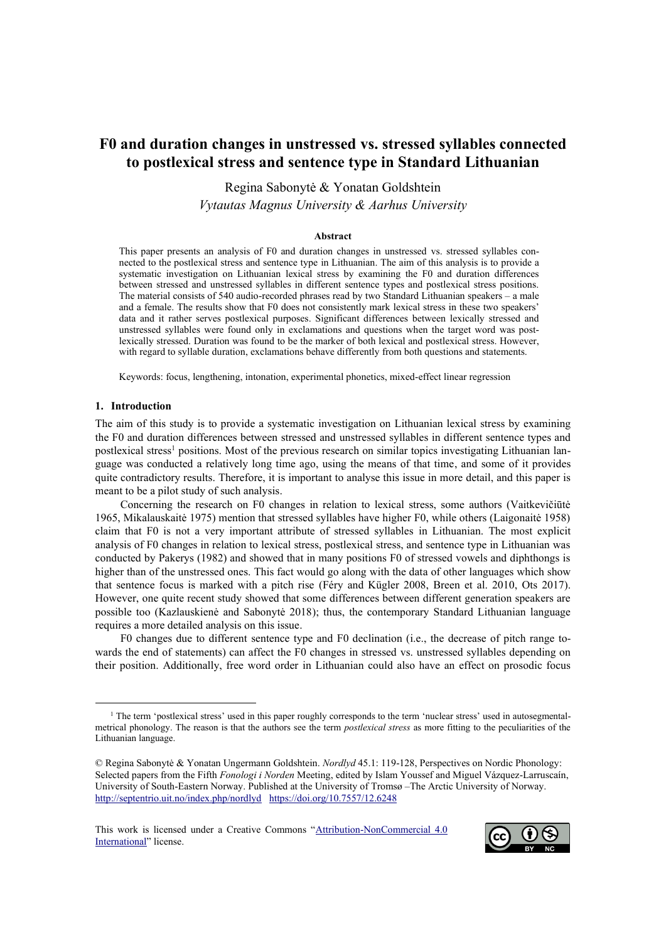# **F0 and duration changes in unstressed vs. stressed syllables connected to postlexical stress and sentence type in Standard Lithuanian**

Regina Sabonytė & Yonatan Goldshtein *Vytautas Magnus University & Aarhus University*

#### **Abstract**

This paper presents an analysis of F0 and duration changes in unstressed vs. stressed syllables connected to the postlexical stress and sentence type in Lithuanian. The aim of this analysis is to provide a systematic investigation on Lithuanian lexical stress by examining the F0 and duration differences between stressed and unstressed syllables in different sentence types and postlexical stress positions. The material consists of 540 audio-recorded phrases read by two Standard Lithuanian speakers – a male and a female. The results show that F0 does not consistently mark lexical stress in these two speakers' data and it rather serves postlexical purposes. Significant differences between lexically stressed and unstressed syllables were found only in exclamations and questions when the target word was postlexically stressed. Duration was found to be the marker of both lexical and postlexical stress. However, with regard to syllable duration, exclamations behave differently from both questions and statements.

Keywords: focus, lengthening, intonation, experimental phonetics, mixed-effect linear regression

#### **1. Introduction**

The aim of this study is to provide a systematic investigation on Lithuanian lexical stress by examining the F0 and duration differences between stressed and unstressed syllables in different sentence types and postlexical stress<sup>1</sup> positions. Most of the previous research on similar topics investigating Lithuanian language was conducted a relatively long time ago, using the means of that time, and some of it provides quite contradictory results. Therefore, it is important to analyse this issue in more detail, and this paper is meant to be a pilot study of such analysis.

Concerning the research on F0 changes in relation to lexical stress, some authors (Vaitkevičiūtė 1965, Mikalauskaitė 1975) mention that stressed syllables have higher F0, while others (Laigonaitė 1958) claim that F0 is not a very important attribute of stressed syllables in Lithuanian. The most explicit analysis of F0 changes in relation to lexical stress, postlexical stress, and sentence type in Lithuanian was conducted by Pakerys (1982) and showed that in many positions F0 of stressed vowels and diphthongs is higher than of the unstressed ones. This fact would go along with the data of other languages which show that sentence focus is marked with a pitch rise (Féry and Kügler 2008, Breen et al. 2010, Ots 2017). However, one quite recent study showed that some differences between different generation speakers are possible too (Kazlauskienė and Sabonytė 2018); thus, the contemporary Standard Lithuanian language requires a more detailed analysis on this issue.

F0 changes due to different sentence type and F0 declination (i.e., the decrease of pitch range towards the end of statements) can affect the F0 changes in stressed vs. unstressed syllables depending on their position. Additionally, free word order in Lithuanian could also have an effect on prosodic focus



<sup>&</sup>lt;sup>1</sup> The term 'postlexical stress' used in this paper roughly corresponds to the term 'nuclear stress' used in autosegmentalmetrical phonology. The reason is that the authors see the term *postlexical stress* as more fitting to the peculiarities of the Lithuanian language.

<sup>©</sup> Regina Sabonytė & Yonatan Ungermann Goldshtein. *Nordlyd* 45.1: 119-128, Perspectives on Nordic Phonology: Selected papers from the Fifth *Fonologi i Norden* Meeting, edited by Islam Youssef and Miguel Vázquez-Larruscaín, University of South-Eastern Norway. Published at the University of Tromsø –The Arctic University of Norway. <http://septentrio.uit.no/index.php/nordlyd><https://doi.org/10.7557/12.6248>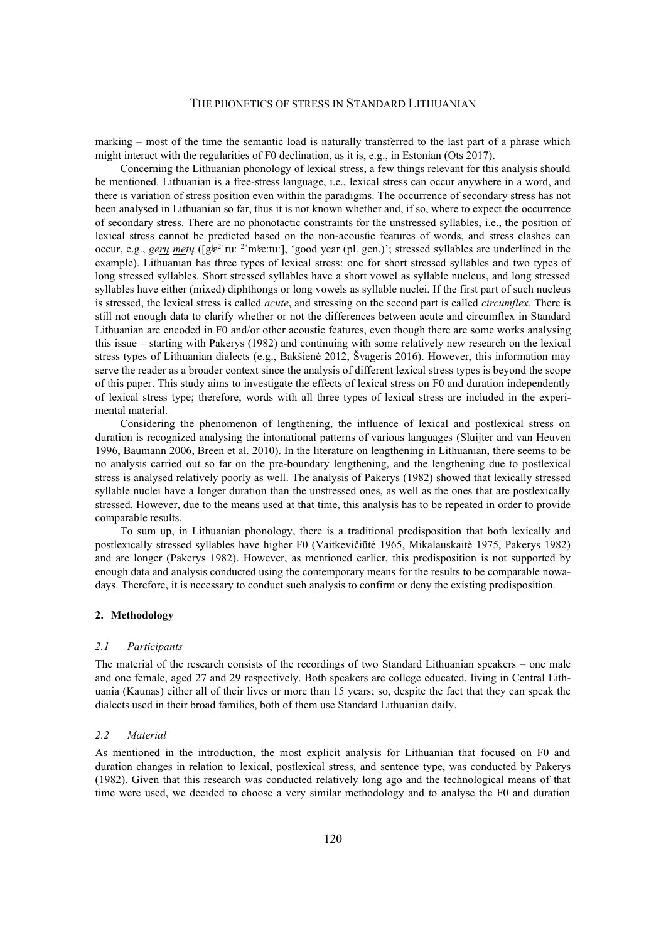marking – most of the time the semantic load is naturally transferred to the last part of a phrase which might interact with the regularities of F0 declination, as it is, e.g., in Estonian (Ots 2017).

Concerning the Lithuanian phonology of lexical stress, a few things relevant for this analysis should be mentioned. Lithuanian is a free-stress language, i.e., lexical stress can occur anywhere in a word, and there is variation of stress position even within the paradigms. The occurrence of secondary stress has not been analysed in Lithuanian so far, thus it is not known whether and, if so, where to expect the occurrence of secondary stress. There are no phonotactic constraints for the unstressed syllables, i.e., the position of lexical stress cannot be predicted based on the non-acoustic features of words, and stress clashes can occur, e.g., *gery* mety ([g<sup>ie2</sup>'ruː <sup>2</sup>'mʲæːtuː], 'good year (pl. gen.)'; stressed syllables are underlined in the example). Lithuanian has three types of lexical stress: one for short stressed syllables and two types of long stressed syllables. Short stressed syllables have a short vowel as syllable nucleus, and long stressed syllables have either (mixed) diphthongs or long vowels as syllable nuclei. If the first part of such nucleus is stressed, the lexical stress is called *acute*, and stressing on the second part is called *circumflex*. There is still not enough data to clarify whether or not the differences between acute and circumflex in Standard Lithuanian are encoded in F0 and/or other acoustic features, even though there are some works analysing this issue – starting with Pakerys (1982) and continuing with some relatively new research on the lexical stress types of Lithuanian dialects (e.g., Bakšienė 2012, Švageris 2016). However, this information may serve the reader as a broader context since the analysis of different lexical stress types is beyond the scope of this paper. This study aims to investigate the effects of lexical stress on F0 and duration independently of lexical stress type; therefore, words with all three types of lexical stress are included in the experimental material.

Considering the phenomenon of lengthening, the influence of lexical and postlexical stress on duration is recognized analysing the intonational patterns of various languages (Sluijter and van Heuven 1996, Baumann 2006, Breen et al. 2010). In the literature on lengthening in Lithuanian, there seems to be no analysis carried out so far on the pre-boundary lengthening, and the lengthening due to postlexical stress is analysed relatively poorly as well. The analysis of Pakerys (1982) showed that lexically stressed syllable nuclei have a longer duration than the unstressed ones, as well as the ones that are postlexically stressed. However, due to the means used at that time, this analysis has to be repeated in order to provide comparable results.

To sum up, in Lithuanian phonology, there is a traditional predisposition that both lexically and postlexically stressed syllables have higher F0 (Vaitkevičiūtė 1965, Mikalauskaitė 1975, Pakerys 1982) and are longer (Pakerys 1982). However, as mentioned earlier, this predisposition is not supported by enough data and analysis conducted using the contemporary means for the results to be comparable nowadays. Therefore, it is necessary to conduct such analysis to confirm or deny the existing predisposition.

## **2. Methodology**

#### *2.1 Participants*

The material of the research consists of the recordings of two Standard Lithuanian speakers – one male and one female, aged 27 and 29 respectively. Both speakers are college educated, living in Central Lithuania (Kaunas) either all of their lives or more than 15 years; so, despite the fact that they can speak the dialects used in their broad families, both of them use Standard Lithuanian daily.

#### *2.2 Material*

As mentioned in the introduction, the most explicit analysis for Lithuanian that focused on F0 and duration changes in relation to lexical, postlexical stress, and sentence type, was conducted by Pakerys (1982). Given that this research was conducted relatively long ago and the technological means of that time were used, we decided to choose a very similar methodology and to analyse the F0 and duration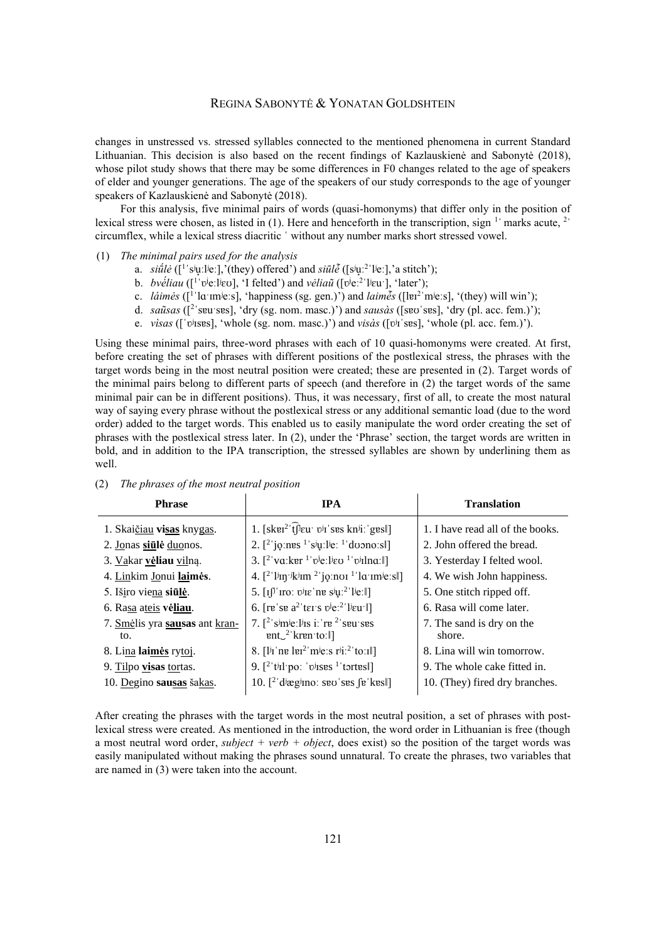# REGINA SABONYTĖ & YONATAN GOLDSHTEIN

changes in unstressed vs. stressed syllables connected to the mentioned phenomena in current Standard Lithuanian. This decision is also based on the recent findings of Kazlauskienė and Sabonytė (2018), whose pilot study shows that there may be some differences in F0 changes related to the age of speakers of elder and younger generations. The age of the speakers of our study corresponds to the age of younger speakers of Kazlauskienė and Sabonytė (2018).

For this analysis, five minimal pairs of words (quasi-homonyms) that differ only in the position of lexical stress were chosen, as listed in (1). Here and henceforth in the transcription, sign  $1$  marks acute,  $2$ circumflex, while a lexical stress diacritic ˈ without any number marks short stressed vowel.

#### (1) *The minimal pairs used for the analysis*

- a. *siū́lė* ([<sup>1</sup>'sʲu̞ːlʲeː],'(they) offered') and *siūlė̃* ([sʲu̞ː<sup>2</sup>'lʲeː],'a stitch');
- b. *bvė́liau* ([<sup>1</sup>'v<sup>j</sup>e:l<sup>j</sup>ɛʊ], 'I felted') and *vėliaũ* ([v<sup>j</sup>e:<sup>2</sup>'lʲɛu<sup>-</sup>], 'later');
- c. *láimės* ([<sup>1</sup> ˈlɑˑɪmʲeːs], 'happiness (sg. gen.)') and *laimės̃* ([lɐɪ<sup>2</sup> ˈmʲeːs], '(they) will win');
- d. *saũsas* ([<sup>2</sup> ˈsɐuˑsɐs], 'dry (sg. nom. masc.)') and *sausàs* ([sɐʊˈsɐs], 'dry (pl. acc. fem.)');
- e. *vìsas* ([ˈʋʲɪsɐs], 'whole (sg. nom. masc.)') and *visàs* ([ʋʲɪˈsɐs], 'whole (pl. acc. fem.)').

Using these minimal pairs, three-word phrases with each of 10 quasi-homonyms were created. At first, before creating the set of phrases with different positions of the postlexical stress, the phrases with the target words being in the most neutral position were created; these are presented in (2). Target words of the minimal pairs belong to different parts of speech (and therefore in (2) the target words of the same minimal pair can be in different positions). Thus, it was necessary, first of all, to create the most natural way of saying every phrase without the postlexical stress or any additional semantic load (due to the word order) added to the target words. This enabled us to easily manipulate the word order creating the set of phrases with the postlexical stress later. In (2), under the 'Phrase' section, the target words are written in bold, and in addition to the IPA transcription, the stressed syllables are shown by underlining them as well.

| <b>Phrase</b>                         | <b>IPA</b>                                                                                                                                                              | <b>Translation</b>                  |
|---------------------------------------|-------------------------------------------------------------------------------------------------------------------------------------------------------------------------|-------------------------------------|
| 1. Skaičiau visas knygas.             | 1. $[sk\pi^2]$ [leu vir ses knii: gesl]                                                                                                                                 | 1. I have read all of the books.    |
| 2. Jonas siūlė duonos.                | 2. $[2^{\circ}]$ jones $^{1}$ sin lie: $^{1}$ do nots $  $                                                                                                              | 2. John offered the bread.          |
| 3. Vakar vėliau vilną.                | 3. $[2^{\circ}\text{va}:\text{ker }^{1} \text{v}^{\text{je}}:\text{Lie }^{1} \text{v}^{\text{ij}}$ lna: $\parallel]$                                                    | 3. Yesterday I felted wool.         |
| 4. Linkim Jonui laimės.               | 4. $[2^{\text{T}}\text{Jip} \cdot \text{jkjim} \cdot 2^{\text{T}}\text{jq} \cdot \text{im} \cdot 1^{\text{T}}\text{la \cdot \text{im} \cdot \text{je} \cdot \text{s}}]$ | 4. We wish John happiness.          |
| 5. Iširo viena siūlė.                 | 5. $[i]^{\dagger}$ iro: $\vec{v}$ ie 'ne s <sup>j</sup> ų: <sup>2</sup> ' l <sup>j</sup> e:                                                                             | 5. One stitch ripped off.           |
| 6. Rasa ateis vėliau.                 | 6. [re'se $a^2$ 'ter's $v^j e^{2}$ 'l <sup>j</sup> eu'll]                                                                                                               | 6. Rasa will come later.            |
| 7. Smėlis yra sausas ant kran-<br>to. | 7. $\lceil^2$ simie: lis i: re <sup>2</sup> seu ses<br>$ent2$ 'kren to: $\parallel$ ]                                                                                   | 7. The sand is dry on the<br>shore. |
| 8. Lina laimės rytoj.                 | 8. [ $1^{j}$ I ne lei <sup>2</sup> m <sup>j</sup> e:s r <sup>j</sup> i: <sup>2</sup> to:Il]                                                                             | 8. Lina will win tomorrow.          |
| 9. Tilpo visas tortas.                | 9. $[$ <sup>2</sup> 't <sup>j</sup> Il'po: 'v <sup>j</sup> ISES <sup>1</sup> 'tortes                                                                                    | 9. The whole cake fitted in.        |
| 10. Degino sausas šakas.              | 10. $[2^{\circ}$ diægino: seo ses $\int e^{\cdot}$ kes $\cdot$                                                                                                          | 10. (They) fired dry branches.      |

# (2) *The phrases of the most neutral position*

After creating the phrases with the target words in the most neutral position, a set of phrases with postlexical stress were created. As mentioned in the introduction, the word order in Lithuanian is free (though a most neutral word order, *subject + verb + object*, does exist) so the position of the target words was easily manipulated without making the phrases sound unnatural. To create the phrases, two variables that are named in (3) were taken into the account.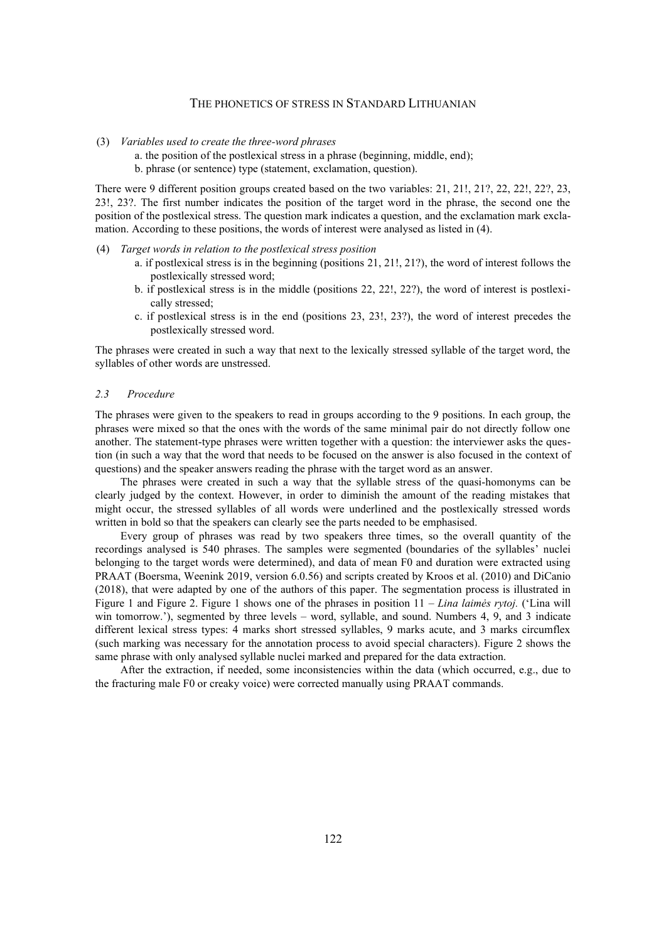- (3) *Variables used to create the three-word phrases*
	- a. the position of the postlexical stress in a phrase (beginning, middle, end); b. phrase (or sentence) type (statement, exclamation, question).

There were 9 different position groups created based on the two variables: 21, 21!, 21?, 22, 22!, 22?, 23, 23!, 23?. The first number indicates the position of the target word in the phrase, the second one the position of the postlexical stress. The question mark indicates a question, and the exclamation mark exclamation. According to these positions, the words of interest were analysed as listed in (4).

- (4) *Target words in relation to the postlexical stress position* 
	- a. if postlexical stress is in the beginning (positions 21, 21!, 21?), the word of interest follows the postlexically stressed word;
	- b. if postlexical stress is in the middle (positions 22, 22!, 22?), the word of interest is postlexically stressed;
	- c. if postlexical stress is in the end (positions 23, 23!, 23?), the word of interest precedes the postlexically stressed word.

The phrases were created in such a way that next to the lexically stressed syllable of the target word, the syllables of other words are unstressed.

#### *2.3 Procedure*

The phrases were given to the speakers to read in groups according to the 9 positions. In each group, the phrases were mixed so that the ones with the words of the same minimal pair do not directly follow one another. The statement-type phrases were written together with a question: the interviewer asks the question (in such a way that the word that needs to be focused on the answer is also focused in the context of questions) and the speaker answers reading the phrase with the target word as an answer.

The phrases were created in such a way that the syllable stress of the quasi-homonyms can be clearly judged by the context. However, in order to diminish the amount of the reading mistakes that might occur, the stressed syllables of all words were underlined and the postlexically stressed words written in bold so that the speakers can clearly see the parts needed to be emphasised.

Every group of phrases was read by two speakers three times, so the overall quantity of the recordings analysed is 540 phrases. The samples were segmented (boundaries of the syllables' nuclei belonging to the target words were determined), and data of mean F0 and duration were extracted using PRAAT (Boersma, Weenink 2019, version 6.0.56) and scripts created by Kroos et al. (2010) and DiCanio (2018), that were adapted by one of the authors of this paper. The segmentation process is illustrated in [Figure 1](#page-4-0) and [Figure 2.](#page-4-1) [Figure 1](#page-4-0) shows one of the phrases in position 11 – *Lina laimės rytoj.* ('Lina will win tomorrow.'), segmented by three levels – word, syllable, and sound. Numbers 4, 9, and 3 indicate different lexical stress types: 4 marks short stressed syllables, 9 marks acute, and 3 marks circumflex (such marking was necessary for the annotation process to avoid special characters). [Figure 2](#page-4-1) shows the same phrase with only analysed syllable nuclei marked and prepared for the data extraction.

After the extraction, if needed, some inconsistencies within the data (which occurred, e.g., due to the fracturing male F0 or creaky voice) were corrected manually using PRAAT commands.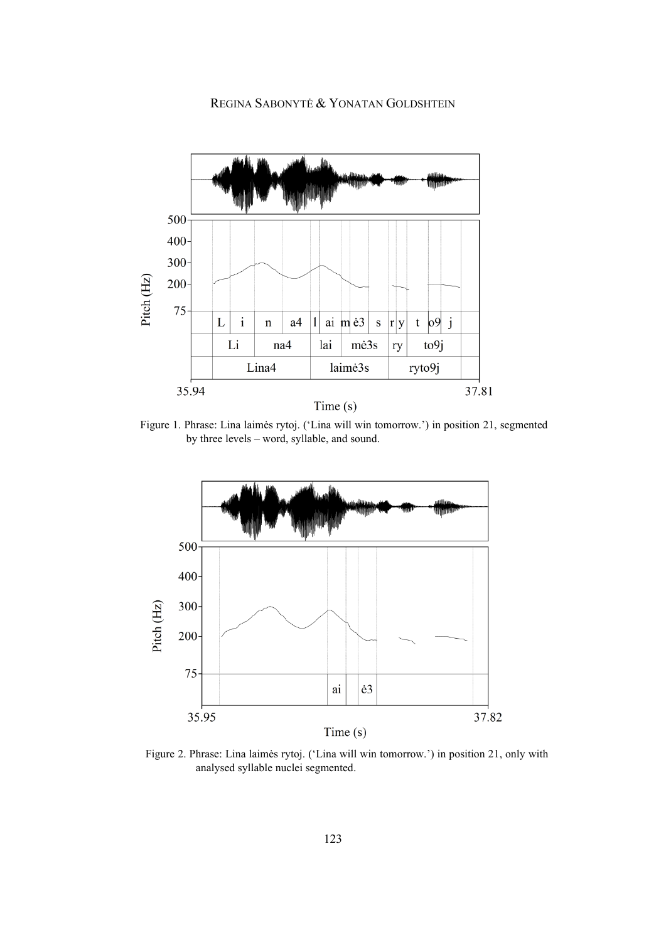

<span id="page-4-0"></span>Figure 1. Phrase: Lina laimės rytoj. ('Lina will win tomorrow.') in position 21, segmented by three levels – word, syllable, and sound.



<span id="page-4-1"></span>Figure 2. Phrase: Lina laimės rytoj. ('Lina will win tomorrow.') in position 21, only with analysed syllable nuclei segmented.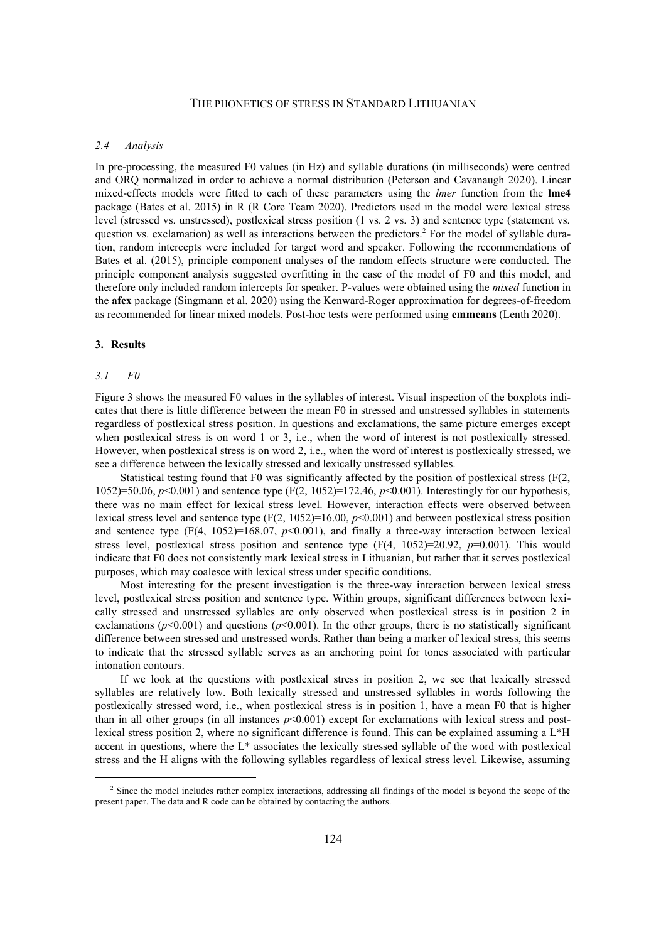## *2.4 Analysis*

In pre-processing, the measured F0 values (in Hz) and syllable durations (in milliseconds) were centred and ORQ normalized in order to achieve a normal distribution (Peterson and Cavanaugh 2020). Linear mixed-effects models were fitted to each of these parameters using the *lmer* function from the **lme4** package (Bates et al. 2015) in R (R Core Team 2020). Predictors used in the model were lexical stress level (stressed vs. unstressed), postlexical stress position (1 vs. 2 vs. 3) and sentence type (statement vs. question vs. exclamation) as well as interactions between the predictors.<sup>2</sup> For the model of syllable duration, random intercepts were included for target word and speaker. Following the recommendations of Bates et al. (2015), principle component analyses of the random effects structure were conducted. The principle component analysis suggested overfitting in the case of the model of F0 and this model, and therefore only included random intercepts for speaker. P-values were obtained using the *mixed* function in the **afex** package (Singmann et al. 2020) using the Kenward-Roger approximation for degrees-of-freedom as recommended for linear mixed models. Post-hoc tests were performed using **emmeans** (Lenth 2020).

#### **3. Results**

#### *3.1 F0*

[Figure 3](#page-6-0) shows the measured F0 values in the syllables of interest. Visual inspection of the boxplots indicates that there is little difference between the mean F0 in stressed and unstressed syllables in statements regardless of postlexical stress position. In questions and exclamations, the same picture emerges except when postlexical stress is on word 1 or 3, i.e., when the word of interest is not postlexically stressed. However, when postlexical stress is on word 2, i.e., when the word of interest is postlexically stressed, we see a difference between the lexically stressed and lexically unstressed syllables.

Statistical testing found that F0 was significantly affected by the position of postlexical stress (F(2, 1052)=50.06, *p*<0.001) and sentence type (F(2, 1052)=172.46, *p*<0.001). Interestingly for our hypothesis, there was no main effect for lexical stress level. However, interaction effects were observed between lexical stress level and sentence type  $(F(2, 1052)=16.00, p<0.001)$  and between postlexical stress position and sentence type (F(4, 1052)=168.07,  $p$ <0.001), and finally a three-way interaction between lexical stress level, postlexical stress position and sentence type  $(F(4, 1052)=20.92, p=0.001)$ . This would indicate that F0 does not consistently mark lexical stress in Lithuanian, but rather that it serves postlexical purposes, which may coalesce with lexical stress under specific conditions.

Most interesting for the present investigation is the three-way interaction between lexical stress level, postlexical stress position and sentence type. Within groups, significant differences between lexically stressed and unstressed syllables are only observed when postlexical stress is in position 2 in exclamations ( $p$ <0.001) and questions ( $p$ <0.001). In the other groups, there is no statistically significant difference between stressed and unstressed words. Rather than being a marker of lexical stress, this seems to indicate that the stressed syllable serves as an anchoring point for tones associated with particular intonation contours.

If we look at the questions with postlexical stress in position 2, we see that lexically stressed syllables are relatively low. Both lexically stressed and unstressed syllables in words following the postlexically stressed word, i.e., when postlexical stress is in position 1, have a mean F0 that is higher than in all other groups (in all instances  $p<0.001$ ) except for exclamations with lexical stress and postlexical stress position 2, where no significant difference is found. This can be explained assuming a L\*H accent in questions, where the L\* associates the lexically stressed syllable of the word with postlexical stress and the H aligns with the following syllables regardless of lexical stress level. Likewise, assuming

<sup>&</sup>lt;sup>2</sup> Since the model includes rather complex interactions, addressing all findings of the model is beyond the scope of the present paper. The data and R code can be obtained by contacting the authors.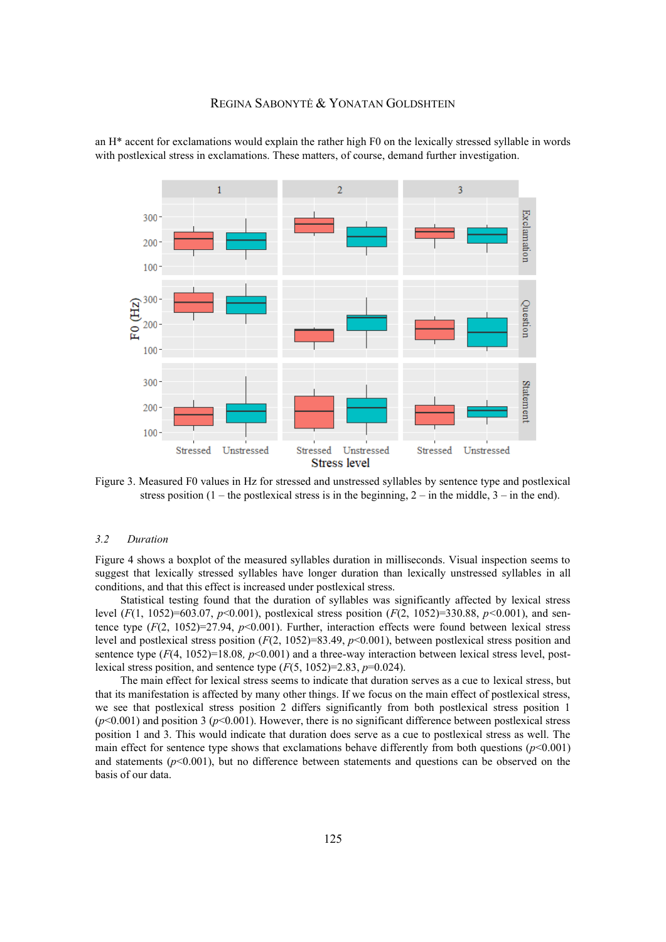an H\* accent for exclamations would explain the rather high F0 on the lexically stressed syllable in words with postlexical stress in exclamations. These matters, of course, demand further investigation.



<span id="page-6-0"></span>Figure 3. Measured F0 values in Hz for stressed and unstressed syllables by sentence type and postlexical stress position  $(1 -$  the postlexical stress is in the beginning,  $2 -$  in the middle,  $3 -$  in the end).

#### *3.2 Duration*

[Figure 4](#page-7-0) shows a boxplot of the measured syllables duration in milliseconds. Visual inspection seems to suggest that lexically stressed syllables have longer duration than lexically unstressed syllables in all conditions, and that this effect is increased under postlexical stress.

Statistical testing found that the duration of syllables was significantly affected by lexical stress level (*F*(1, 1052)=603.07, *p*<0.001), postlexical stress position (*F*(2, 1052)=330.88, *p<*0.001), and sentence type (*F*(2, 1052)=27.94, *p*<0.001). Further, interaction effects were found between lexical stress level and postlexical stress position (*F*(2, 1052)=83.49, *p*<0.001), between postlexical stress position and sentence type ( $F(4, 1052)=18.08$ ,  $p<0.001$ ) and a three-way interaction between lexical stress level, postlexical stress position, and sentence type  $(F(5, 1052)=2.83, p=0.024)$ .

The main effect for lexical stress seems to indicate that duration serves as a cue to lexical stress, but that its manifestation is affected by many other things. If we focus on the main effect of postlexical stress, we see that postlexical stress position 2 differs significantly from both postlexical stress position 1  $(p<0.001)$  and position 3 ( $p<0.001$ ). However, there is no significant difference between postlexical stress position 1 and 3. This would indicate that duration does serve as a cue to postlexical stress as well. The main effect for sentence type shows that exclamations behave differently from both questions  $(p<0.001)$ and statements ( $p<0.001$ ), but no difference between statements and questions can be observed on the basis of our data.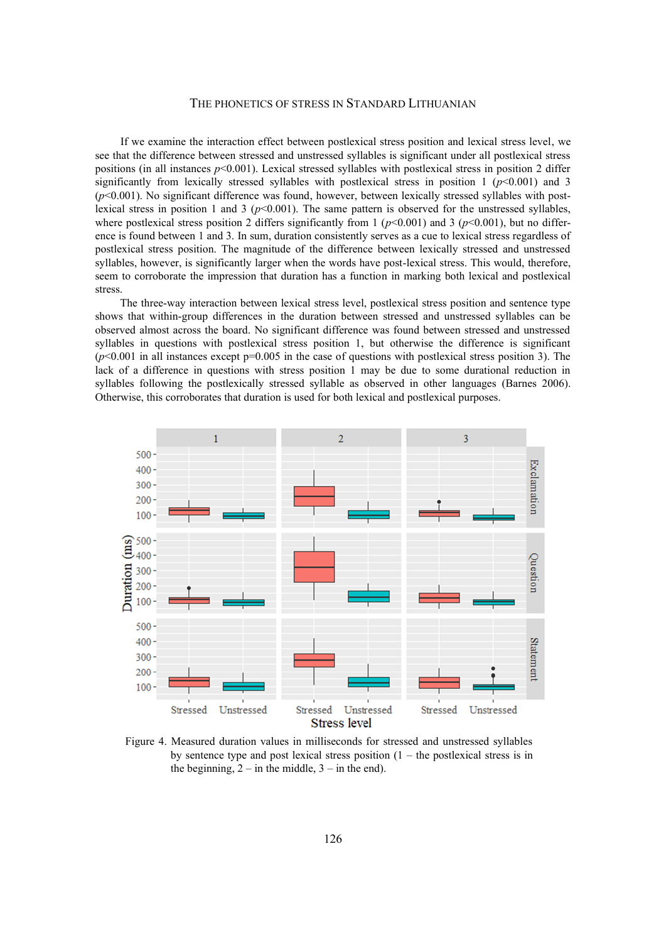If we examine the interaction effect between postlexical stress position and lexical stress level, we see that the difference between stressed and unstressed syllables is significant under all postlexical stress positions (in all instances *p*<0.001). Lexical stressed syllables with postlexical stress in position 2 differ significantly from lexically stressed syllables with postlexical stress in position  $1 \frac{(p<0.001)}{p}$  and 3  $(p<0.001)$ . No significant difference was found, however, between lexically stressed syllables with postlexical stress in position 1 and 3 ( $p<0.001$ ). The same pattern is observed for the unstressed syllables, where postlexical stress position 2 differs significantly from 1 ( $p$ <0.001) and 3 ( $p$ <0.001), but no difference is found between 1 and 3. In sum, duration consistently serves as a cue to lexical stress regardless of postlexical stress position. The magnitude of the difference between lexically stressed and unstressed syllables, however, is significantly larger when the words have post-lexical stress. This would, therefore, seem to corroborate the impression that duration has a function in marking both lexical and postlexical stress.

The three-way interaction between lexical stress level, postlexical stress position and sentence type shows that within-group differences in the duration between stressed and unstressed syllables can be observed almost across the board. No significant difference was found between stressed and unstressed syllables in questions with postlexical stress position 1, but otherwise the difference is significant  $(p<0.001$  in all instances except  $p=0.005$  in the case of questions with postlexical stress position 3). The lack of a difference in questions with stress position 1 may be due to some durational reduction in syllables following the postlexically stressed syllable as observed in other languages (Barnes 2006). Otherwise, this corroborates that duration is used for both lexical and postlexical purposes.



<span id="page-7-0"></span>Figure 4. Measured duration values in milliseconds for stressed and unstressed syllables by sentence type and post lexical stress position  $(1 -$  the postlexical stress is in the beginning,  $2 -$  in the middle,  $3 -$  in the end).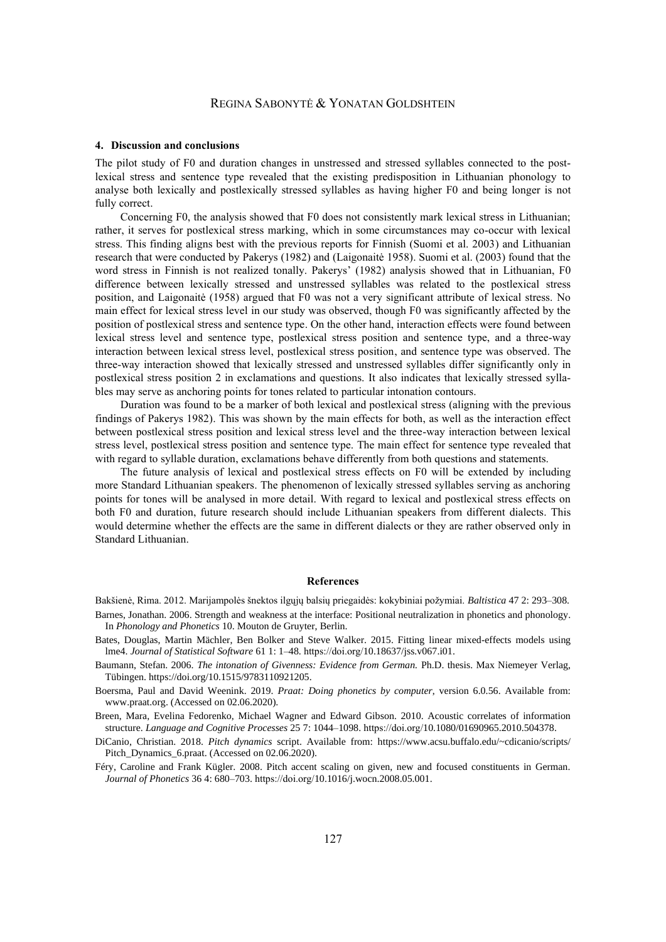# REGINA SABONYTĖ & YONATAN GOLDSHTEIN

#### **4. Discussion and conclusions**

The pilot study of F0 and duration changes in unstressed and stressed syllables connected to the postlexical stress and sentence type revealed that the existing predisposition in Lithuanian phonology to analyse both lexically and postlexically stressed syllables as having higher F0 and being longer is not fully correct.

Concerning F0, the analysis showed that F0 does not consistently mark lexical stress in Lithuanian; rather, it serves for postlexical stress marking, which in some circumstances may co-occur with lexical stress. This finding aligns best with the previous reports for Finnish (Suomi et al. 2003) and Lithuanian research that were conducted by Pakerys (1982) and (Laigonaitė 1958). Suomi et al. (2003) found that the word stress in Finnish is not realized tonally. Pakerys' (1982) analysis showed that in Lithuanian, F0 difference between lexically stressed and unstressed syllables was related to the postlexical stress position, and Laigonaitė (1958) argued that F0 was not a very significant attribute of lexical stress. No main effect for lexical stress level in our study was observed, though F0 was significantly affected by the position of postlexical stress and sentence type. On the other hand, interaction effects were found between lexical stress level and sentence type, postlexical stress position and sentence type, and a three-way interaction between lexical stress level, postlexical stress position, and sentence type was observed. The three-way interaction showed that lexically stressed and unstressed syllables differ significantly only in postlexical stress position 2 in exclamations and questions. It also indicates that lexically stressed syllables may serve as anchoring points for tones related to particular intonation contours.

Duration was found to be a marker of both lexical and postlexical stress (aligning with the previous findings of Pakerys 1982). This was shown by the main effects for both, as well as the interaction effect between postlexical stress position and lexical stress level and the three-way interaction between lexical stress level, postlexical stress position and sentence type. The main effect for sentence type revealed that with regard to syllable duration, exclamations behave differently from both questions and statements.

The future analysis of lexical and postlexical stress effects on F0 will be extended by including more Standard Lithuanian speakers. The phenomenon of lexically stressed syllables serving as anchoring points for tones will be analysed in more detail. With regard to lexical and postlexical stress effects on both F0 and duration, future research should include Lithuanian speakers from different dialects. This would determine whether the effects are the same in different dialects or they are rather observed only in Standard Lithuanian.

#### **References**

Bakšienė, Rima. 2012. Marijampolės šnektos ilgųjų balsių priegaidės: kokybiniai požymiai. *Baltistica* 47 2: 293–308.

- Barnes, Jonathan. 2006. Strength and weakness at the interface: Positional neutralization in phonetics and phonology. In *Phonology and Phonetics* 10. Mouton de Gruyter, Berlin.
- Bates, Douglas, Martin Mächler, Ben Bolker and Steve Walker. 2015. Fitting linear mixed-effects models using lme4. *Journal of Statistical Software* 61 1: 1–48. https://doi.org/10.18637/jss.v067.i01.
- Baumann, Stefan. 2006. *The intonation of Givenness: Evidence from German.* Ph.D. thesis. Max Niemeyer Verlag, Tübingen. https://doi.org/10.1515/9783110921205.
- Boersma, Paul and David Weenink. 2019. *Praat: Doing phonetics by computer*, version 6.0.56. Available from: www.praat.org. (Accessed on 02.06.2020).

Breen, Mara, Evelina Fedorenko, Michael Wagner and Edward Gibson. 2010. Acoustic correlates of information structure. *Language and Cognitive Processes* 25 7: 1044–1098. https://doi.org/10.1080/01690965.2010.504378.

DiCanio, Christian. 2018. *Pitch dynamics* script. Available from: https://www.acsu.buffalo.edu/~cdicanio/scripts/ Pitch\_Dynamics\_6.praat. (Accessed on 02.06.2020).

Féry, Caroline and Frank Kügler. 2008. Pitch accent scaling on given, new and focused constituents in German. *Journal of Phonetics* 36 4: 680–703. https://doi.org/10.1016/j.wocn.2008.05.001.